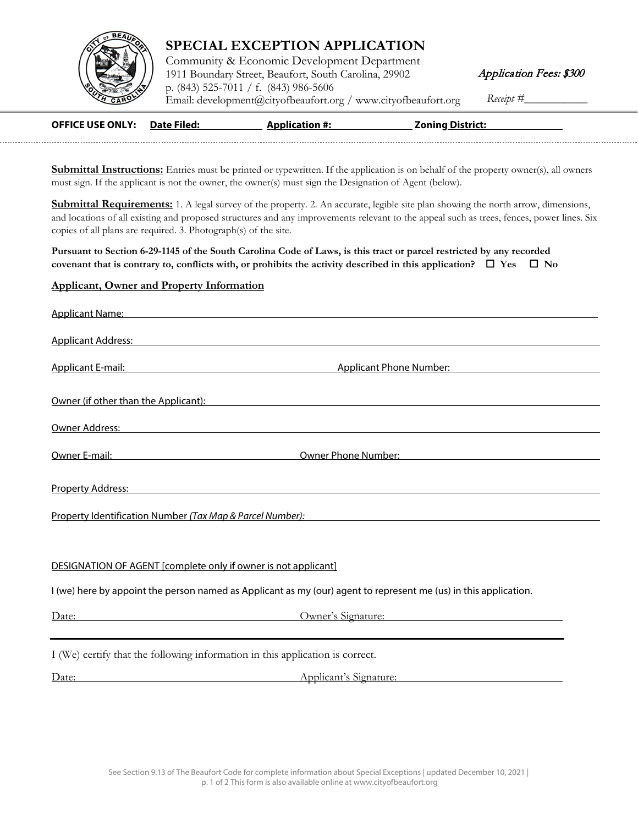

## **SPECIAL EXCEPTION APPLICATION**

Community & Economic Development Department 1911 Boundary Street, Beaufort, South Carolina, 29902 p. (843) 525-7011 / f. (843) 986-5606 [Email: development@cit](http://www.cityofbeaufort.org/)yofbeaufort.org / www.cityofbeaufort.org Receipt #\_

Application Fees: \$300

| <b>OFFICE USE ONLY: Date Filed:</b> | <b>Application #:</b> | <b>Zoning District:</b> |
|-------------------------------------|-----------------------|-------------------------|
|                                     |                       |                         |

**Submittal Instructions:** Entries must be printed or typewritten. If the application is on behalf of the property owner(s), all owners must sign. If the applicant is not the owner, the owner(s) must sign the Designation of Agent (below).

**Submittal Requirements:** 1. A legal survey of the property. 2. An accurate, legible site plan showing the north arrow, dimensions, and locations of all existing and proposed structures and any improvements relevant to the appeal such as trees, fences, power lines. Six copies of all plans are required. 3. Photograph(s) of the site.

**Pursuant to Section 6-29-1145 of the South Carolina Code of Laws, is this tract or parcel restricted by any recorded covenant that is contrary to, conflicts with, or prohibits the activity described in this application?**  $\Box$  **Yes**  $\Box$  **No** 

## **Applicant, Owner and Property Information**

| Applicant Name: No. 2014 19:30 Applicant Name: No. 2014 19:30 Applicant Name: No. 2014                                                                                                                                             |                                                                                                                                                                                                                                         |
|------------------------------------------------------------------------------------------------------------------------------------------------------------------------------------------------------------------------------------|-----------------------------------------------------------------------------------------------------------------------------------------------------------------------------------------------------------------------------------------|
| Applicant Address: No. 2014 19:30 19:30 19:30 19:30 19:30 19:30 19:30 19:30 19:30 19:30 19:30 19:30 19:30 19:3                                                                                                                     |                                                                                                                                                                                                                                         |
|                                                                                                                                                                                                                                    | Applicant E-mail: Applicant Phone Number: Applicant Phone Number:                                                                                                                                                                       |
|                                                                                                                                                                                                                                    | Owner (if other than the Applicant): Notice and the Contract of the Contract of the Contract of the Contract of the Contract of the Contract of the Contract of the Contract of the Contract of the Contract of the Contract o          |
|                                                                                                                                                                                                                                    | Owner Address: the contract of the contract of the contract of the contract of the contract of the contract of the contract of the contract of the contract of the contract of the contract of the contract of the contract of          |
|                                                                                                                                                                                                                                    | <b>Owner E-mail:</b> Compared the Compared of Compared Compared Compared Compared Compared Compared Compared Compared Compared Compared Compared Compared Compared Compared Compared Compared Compared Compared Compared Compared C     |
| <b>Property Address: Contract Contract Contract Contract Contract Contract Contract Contract Contract Contract Contract Contract Contract Contract Contract Contract Contract Contract Contract Contract Contract Contract Con</b> |                                                                                                                                                                                                                                         |
|                                                                                                                                                                                                                                    | <u>Property Identification Number (Tax Map &amp; Parcel Number):</u> National Management of the Management of the Management of the Management of the Management of the Management of the Management of the Management of the Managemen |
|                                                                                                                                                                                                                                    |                                                                                                                                                                                                                                         |
| DESIGNATION OF AGENT [complete only if owner is not applicant]                                                                                                                                                                     |                                                                                                                                                                                                                                         |
|                                                                                                                                                                                                                                    | I (we) here by appoint the person named as Applicant as my (our) agent to represent me (us) in this application.                                                                                                                        |
|                                                                                                                                                                                                                                    | Date: Owner's Signature: Owner's Signature:                                                                                                                                                                                             |
| I (We) certify that the following information in this application is correct.                                                                                                                                                      |                                                                                                                                                                                                                                         |
| Date:                                                                                                                                                                                                                              | <u>Applicant's Signature:</u> Applicant is a series of the series of the series of the series of the series of the series of the series of the series of the series of the series of the series of the series of the series of the      |